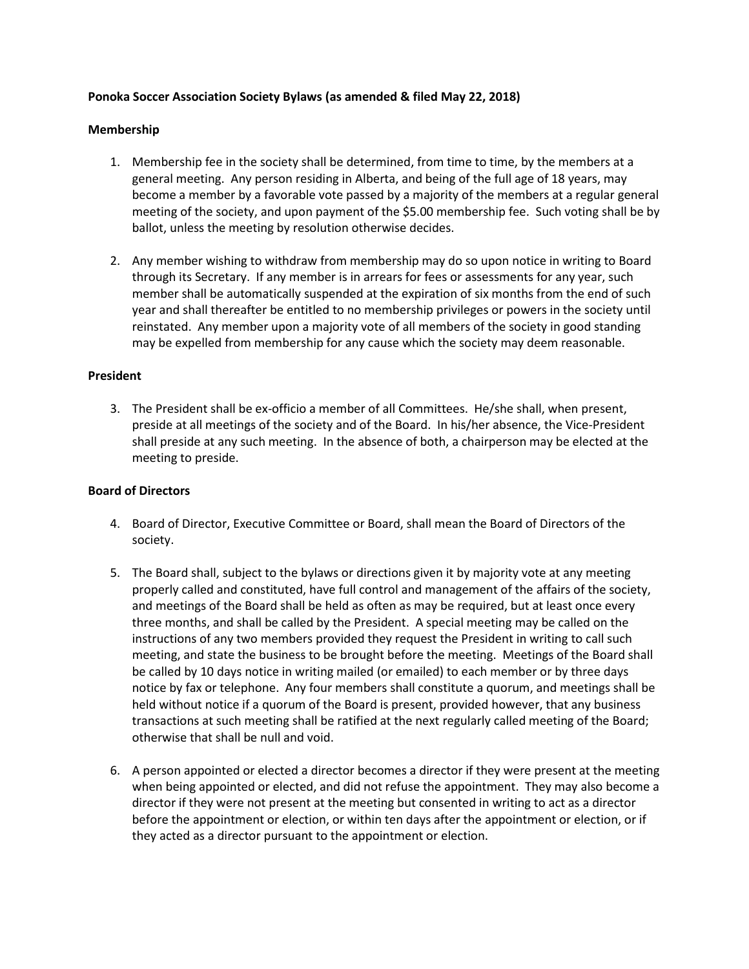# **Ponoka Soccer Association Society Bylaws (as amended & filed May 22, 2018)**

#### **Membership**

- 1. Membership fee in the society shall be determined, from time to time, by the members at a general meeting. Any person residing in Alberta, and being of the full age of 18 years, may become a member by a favorable vote passed by a majority of the members at a regular general meeting of the society, and upon payment of the \$5.00 membership fee. Such voting shall be by ballot, unless the meeting by resolution otherwise decides.
- 2. Any member wishing to withdraw from membership may do so upon notice in writing to Board through its Secretary. If any member is in arrears for fees or assessments for any year, such member shall be automatically suspended at the expiration of six months from the end of such year and shall thereafter be entitled to no membership privileges or powers in the society until reinstated. Any member upon a majority vote of all members of the society in good standing may be expelled from membership for any cause which the society may deem reasonable.

### **President**

3. The President shall be ex-officio a member of all Committees. He/she shall, when present, preside at all meetings of the society and of the Board. In his/her absence, the Vice-President shall preside at any such meeting. In the absence of both, a chairperson may be elected at the meeting to preside.

# **Board of Directors**

- 4. Board of Director, Executive Committee or Board, shall mean the Board of Directors of the society.
- 5. The Board shall, subject to the bylaws or directions given it by majority vote at any meeting properly called and constituted, have full control and management of the affairs of the society, and meetings of the Board shall be held as often as may be required, but at least once every three months, and shall be called by the President. A special meeting may be called on the instructions of any two members provided they request the President in writing to call such meeting, and state the business to be brought before the meeting. Meetings of the Board shall be called by 10 days notice in writing mailed (or emailed) to each member or by three days notice by fax or telephone. Any four members shall constitute a quorum, and meetings shall be held without notice if a quorum of the Board is present, provided however, that any business transactions at such meeting shall be ratified at the next regularly called meeting of the Board; otherwise that shall be null and void.
- 6. A person appointed or elected a director becomes a director if they were present at the meeting when being appointed or elected, and did not refuse the appointment. They may also become a director if they were not present at the meeting but consented in writing to act as a director before the appointment or election, or within ten days after the appointment or election, or if they acted as a director pursuant to the appointment or election.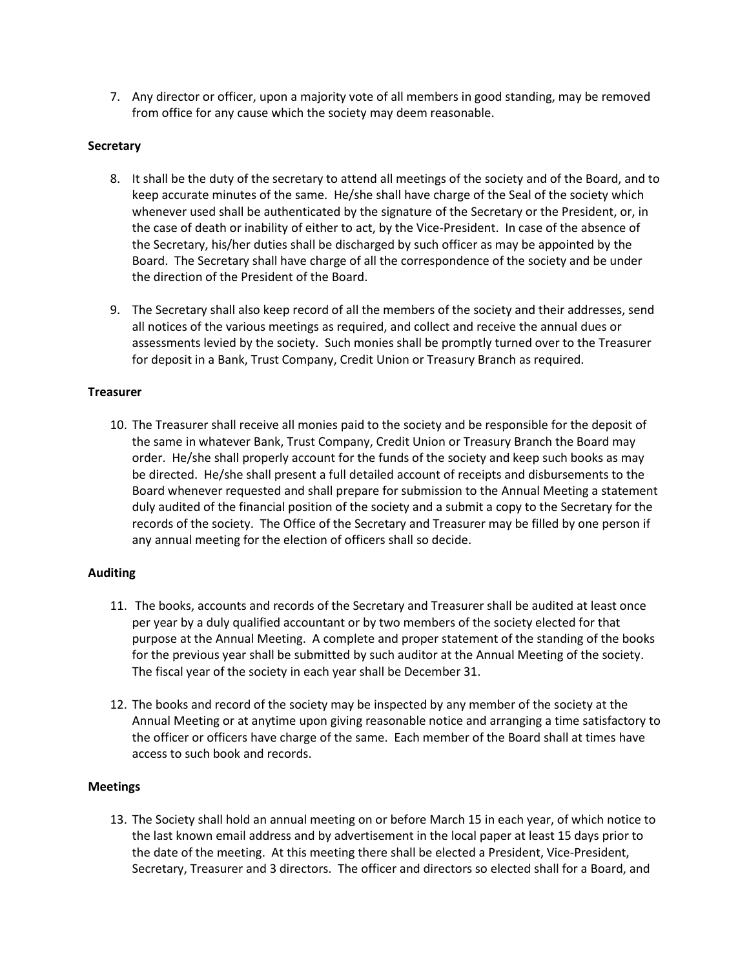7. Any director or officer, upon a majority vote of all members in good standing, may be removed from office for any cause which the society may deem reasonable.

# **Secretary**

- 8. It shall be the duty of the secretary to attend all meetings of the society and of the Board, and to keep accurate minutes of the same. He/she shall have charge of the Seal of the society which whenever used shall be authenticated by the signature of the Secretary or the President, or, in the case of death or inability of either to act, by the Vice-President. In case of the absence of the Secretary, his/her duties shall be discharged by such officer as may be appointed by the Board. The Secretary shall have charge of all the correspondence of the society and be under the direction of the President of the Board.
- 9. The Secretary shall also keep record of all the members of the society and their addresses, send all notices of the various meetings as required, and collect and receive the annual dues or assessments levied by the society. Such monies shall be promptly turned over to the Treasurer for deposit in a Bank, Trust Company, Credit Union or Treasury Branch as required.

### **Treasurer**

10. The Treasurer shall receive all monies paid to the society and be responsible for the deposit of the same in whatever Bank, Trust Company, Credit Union or Treasury Branch the Board may order. He/she shall properly account for the funds of the society and keep such books as may be directed. He/she shall present a full detailed account of receipts and disbursements to the Board whenever requested and shall prepare for submission to the Annual Meeting a statement duly audited of the financial position of the society and a submit a copy to the Secretary for the records of the society. The Office of the Secretary and Treasurer may be filled by one person if any annual meeting for the election of officers shall so decide.

#### **Auditing**

- 11. The books, accounts and records of the Secretary and Treasurer shall be audited at least once per year by a duly qualified accountant or by two members of the society elected for that purpose at the Annual Meeting. A complete and proper statement of the standing of the books for the previous year shall be submitted by such auditor at the Annual Meeting of the society. The fiscal year of the society in each year shall be December 31.
- 12. The books and record of the society may be inspected by any member of the society at the Annual Meeting or at anytime upon giving reasonable notice and arranging a time satisfactory to the officer or officers have charge of the same. Each member of the Board shall at times have access to such book and records.

# **Meetings**

13. The Society shall hold an annual meeting on or before March 15 in each year, of which notice to the last known email address and by advertisement in the local paper at least 15 days prior to the date of the meeting. At this meeting there shall be elected a President, Vice-President, Secretary, Treasurer and 3 directors. The officer and directors so elected shall for a Board, and